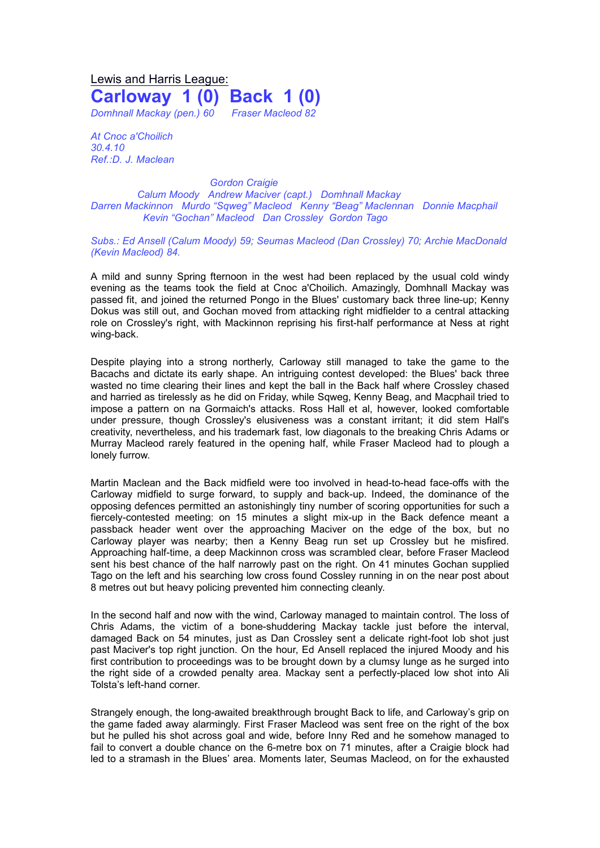## Lewis and Harris League: **Carloway 1 (0) Back 1 (0)** *Domhnall Mackay (pen.) 60 Fraser Macleod 82*

*At Cnoc a'Choilich 30.4.10 Ref.:D. J. Maclean*

*Gordon Craigie Calum Moody Andrew Maciver (capt.) Domhnall Mackay Darren Mackinnon Murdo "Sqweg" Macleod Kenny "Beag" Maclennan Donnie Macphail Kevin "Gochan" Macleod Dan Crossley Gordon Tago*

## *Subs.: Ed Ansell (Calum Moody) 59; Seumas Macleod (Dan Crossley) 70; Archie MacDonald (Kevin Macleod) 84.*

A mild and sunny Spring fternoon in the west had been replaced by the usual cold windy evening as the teams took the field at Cnoc a'Choilich. Amazingly, Domhnall Mackay was passed fit, and joined the returned Pongo in the Blues' customary back three line-up; Kenny Dokus was still out, and Gochan moved from attacking right midfielder to a central attacking role on Crossley's right, with Mackinnon reprising his first-half performance at Ness at right wing-back.

Despite playing into a strong northerly, Carloway still managed to take the game to the Bacachs and dictate its early shape. An intriguing contest developed: the Blues' back three wasted no time clearing their lines and kept the ball in the Back half where Crossley chased and harried as tirelessly as he did on Friday, while Sqweg, Kenny Beag, and Macphail tried to impose a pattern on na Gormaich's attacks. Ross Hall et al, however, looked comfortable under pressure, though Crossley's elusiveness was a constant irritant; it did stem Hall's creativity, nevertheless, and his trademark fast, low diagonals to the breaking Chris Adams or Murray Macleod rarely featured in the opening half, while Fraser Macleod had to plough a lonely furrow.

Martin Maclean and the Back midfield were too involved in head-to-head face-offs with the Carloway midfield to surge forward, to supply and back-up. Indeed, the dominance of the opposing defences permitted an astonishingly tiny number of scoring opportunities for such a fiercely-contested meeting: on 15 minutes a slight mix-up in the Back defence meant a passback header went over the approaching Maciver on the edge of the box, but no Carloway player was nearby; then a Kenny Beag run set up Crossley but he misfired. Approaching half-time, a deep Mackinnon cross was scrambled clear, before Fraser Macleod sent his best chance of the half narrowly past on the right. On 41 minutes Gochan supplied Tago on the left and his searching low cross found Cossley running in on the near post about 8 metres out but heavy policing prevented him connecting cleanly.

In the second half and now with the wind, Carloway managed to maintain control. The loss of Chris Adams, the victim of a bone-shuddering Mackay tackle just before the interval, damaged Back on 54 minutes, just as Dan Crossley sent a delicate right-foot lob shot just past Maciver's top right junction. On the hour, Ed Ansell replaced the injured Moody and his first contribution to proceedings was to be brought down by a clumsy lunge as he surged into the right side of a crowded penalty area. Mackay sent a perfectly-placed low shot into Ali Tolsta's left-hand corner.

Strangely enough, the long-awaited breakthrough brought Back to life, and Carloway's grip on the game faded away alarmingly. First Fraser Macleod was sent free on the right of the box but he pulled his shot across goal and wide, before Inny Red and he somehow managed to fail to convert a double chance on the 6-metre box on 71 minutes, after a Craigie block had led to a stramash in the Blues' area. Moments later, Seumas Macleod, on for the exhausted